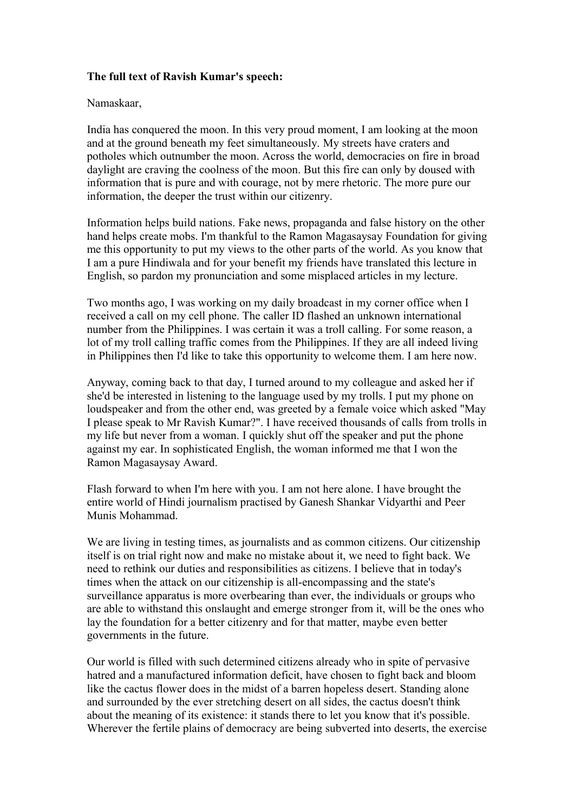## **The full text of Ravish Kumar's speech:**

## Namaskaar,

India has conquered the moon. In this very proud moment, I am looking at the moon and at the ground beneath my feet simultaneously. My streets have craters and potholes which outnumber the moon. Across the world, democracies on fire in broad daylight are craving the coolness of the moon. But this fire can only by doused with information that is pure and with courage, not by mere rhetoric. The more pure our information, the deeper the trust within our citizenry.

Information helps build nations. Fake news, propaganda and false history on the other hand helps create mobs. I'm thankful to the Ramon Magasaysay Foundation for giving me this opportunity to put my views to the other parts of the world. As you know that I am a pure Hindiwala and for your benefit my friends have translated this lecture in English, so pardon my pronunciation and some misplaced articles in my lecture.

Two months ago, I was working on my daily broadcast in my corner office when I received a call on my cell phone. The caller ID flashed an unknown international number from the Philippines. I was certain it was a troll calling. For some reason, a lot of my troll calling traffic comes from the Philippines. If they are all indeed living in Philippines then I'd like to take this opportunity to welcome them. I am here now.

Anyway, coming back to that day, I turned around to my colleague and asked her if she'd be interested in listening to the language used by my trolls. I put my phone on loudspeaker and from the other end, was greeted by a female voice which asked "May I please speak to Mr Ravish Kumar?". I have received thousands of calls from trolls in my life but never from a woman. I quickly shut off the speaker and put the phone against my ear. In sophisticated English, the woman informed me that I won the Ramon Magasaysay Award.

Flash forward to when I'm here with you. I am not here alone. I have brought the entire world of Hindi journalism practised by Ganesh Shankar Vidyarthi and Peer Munis Mohammad.

We are living in testing times, as journalists and as common citizens. Our citizenship itself is on trial right now and make no mistake about it, we need to fight back. We need to rethink our duties and responsibilities as citizens. I believe that in today's times when the attack on our citizenship is all-encompassing and the state's surveillance apparatus is more overbearing than ever, the individuals or groups who are able to withstand this onslaught and emerge stronger from it, will be the ones who lay the foundation for a better citizenry and for that matter, maybe even better governments in the future.

Our world is filled with such determined citizens already who in spite of pervasive hatred and a manufactured information deficit, have chosen to fight back and bloom like the cactus flower does in the midst of a barren hopeless desert. Standing alone and surrounded by the ever stretching desert on all sides, the cactus doesn't think about the meaning of its existence: it stands there to let you know that it's possible. Wherever the fertile plains of democracy are being subverted into deserts, the exercise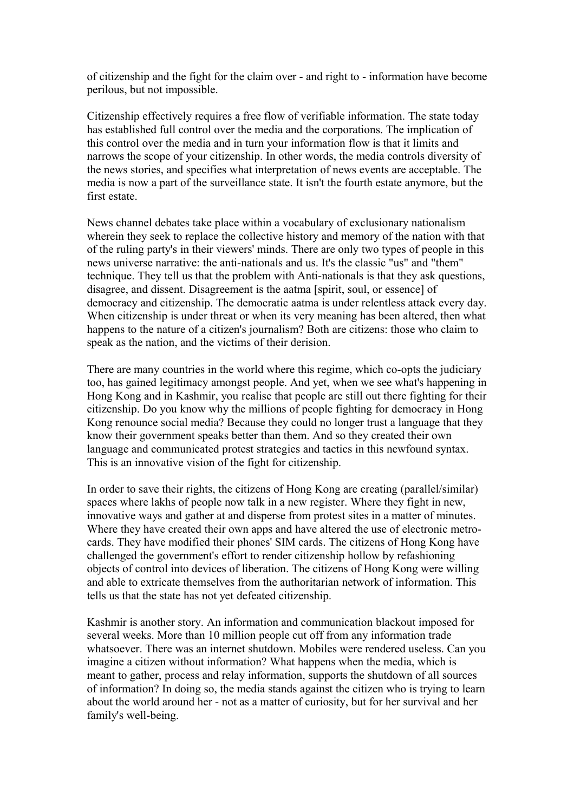of citizenship and the fight for the claim over - and right to - information have become perilous, but not impossible.

Citizenship effectively requires a free flow of verifiable information. The state today has established full control over the media and the corporations. The implication of this control over the media and in turn your information flow is that it limits and narrows the scope of your citizenship. In other words, the media controls diversity of the news stories, and specifies what interpretation of news events are acceptable. The media is now a part of the surveillance state. It isn't the fourth estate anymore, but the first estate.

News channel debates take place within a vocabulary of exclusionary nationalism wherein they seek to replace the collective history and memory of the nation with that of the ruling party's in their viewers' minds. There are only two types of people in this news universe narrative: the anti-nationals and us. It's the classic "us" and "them" technique. They tell us that the problem with Anti-nationals is that they ask questions, disagree, and dissent. Disagreement is the aatma [spirit, soul, or essence] of democracy and citizenship. The democratic aatma is under relentless attack every day. When citizenship is under threat or when its very meaning has been altered, then what happens to the nature of a citizen's journalism? Both are citizens: those who claim to speak as the nation, and the victims of their derision.

There are many countries in the world where this regime, which co-opts the judiciary too, has gained legitimacy amongst people. And yet, when we see what's happening in Hong Kong and in Kashmir, you realise that people are still out there fighting for their citizenship. Do you know why the millions of people fighting for democracy in Hong Kong renounce social media? Because they could no longer trust a language that they know their government speaks better than them. And so they created their own language and communicated protest strategies and tactics in this newfound syntax. This is an innovative vision of the fight for citizenship.

In order to save their rights, the citizens of Hong Kong are creating (parallel/similar) spaces where lakhs of people now talk in a new register. Where they fight in new, innovative ways and gather at and disperse from protest sites in a matter of minutes. Where they have created their own apps and have altered the use of electronic metrocards. They have modified their phones' SIM cards. The citizens of Hong Kong have challenged the government's effort to render citizenship hollow by refashioning objects of control into devices of liberation. The citizens of Hong Kong were willing and able to extricate themselves from the authoritarian network of information. This tells us that the state has not yet defeated citizenship.

Kashmir is another story. An information and communication blackout imposed for several weeks. More than 10 million people cut off from any information trade whatsoever. There was an internet shutdown. Mobiles were rendered useless. Can you imagine a citizen without information? What happens when the media, which is meant to gather, process and relay information, supports the shutdown of all sources of information? In doing so, the media stands against the citizen who is trying to learn about the world around her - not as a matter of curiosity, but for her survival and her family's well-being.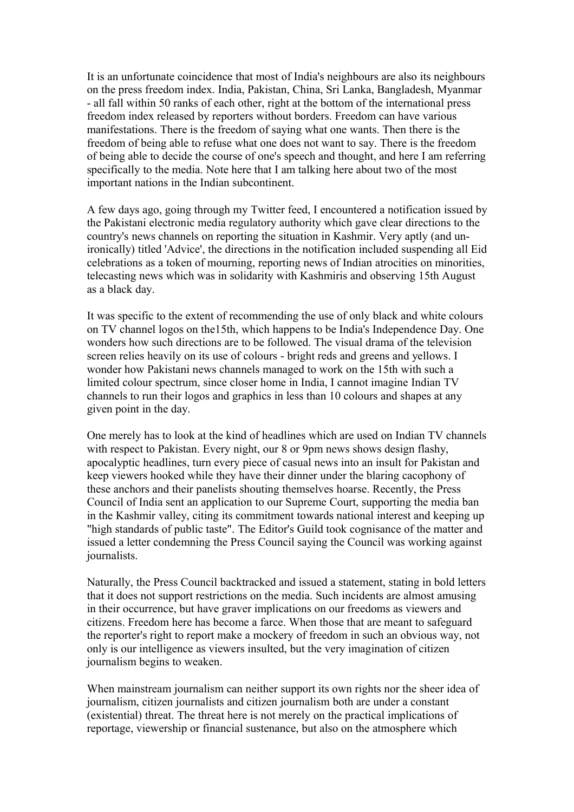It is an unfortunate coincidence that most of India's neighbours are also its neighbours on the press freedom index. India, Pakistan, China, Sri Lanka, Bangladesh, Myanmar - all fall within 50 ranks of each other, right at the bottom of the international press freedom index released by reporters without borders. Freedom can have various manifestations. There is the freedom of saying what one wants. Then there is the freedom of being able to refuse what one does not want to say. There is the freedom of being able to decide the course of one's speech and thought, and here I am referring specifically to the media. Note here that I am talking here about two of the most important nations in the Indian subcontinent.

A few days ago, going through my Twitter feed, I encountered a notification issued by the Pakistani electronic media regulatory authority which gave clear directions to the country's news channels on reporting the situation in Kashmir. Very aptly (and unironically) titled 'Advice', the directions in the notification included suspending all Eid celebrations as a token of mourning, reporting news of Indian atrocities on minorities, telecasting news which was in solidarity with Kashmiris and observing 15th August as a black day.

It was specific to the extent of recommending the use of only black and white colours on TV channel logos on the15th, which happens to be India's Independence Day. One wonders how such directions are to be followed. The visual drama of the television screen relies heavily on its use of colours - bright reds and greens and yellows. I wonder how Pakistani news channels managed to work on the 15th with such a limited colour spectrum, since closer home in India, I cannot imagine Indian TV channels to run their logos and graphics in less than 10 colours and shapes at any given point in the day.

One merely has to look at the kind of headlines which are used on Indian TV channels with respect to Pakistan. Every night, our 8 or 9pm news shows design flashy. apocalyptic headlines, turn every piece of casual news into an insult for Pakistan and keep viewers hooked while they have their dinner under the blaring cacophony of these anchors and their panelists shouting themselves hoarse. Recently, the Press Council of India sent an application to our Supreme Court, supporting the media ban in the Kashmir valley, citing its commitment towards national interest and keeping up "high standards of public taste". The Editor's Guild took cognisance of the matter and issued a letter condemning the Press Council saying the Council was working against journalists.

Naturally, the Press Council backtracked and issued a statement, stating in bold letters that it does not support restrictions on the media. Such incidents are almost amusing in their occurrence, but have graver implications on our freedoms as viewers and citizens. Freedom here has become a farce. When those that are meant to safeguard the reporter's right to report make a mockery of freedom in such an obvious way, not only is our intelligence as viewers insulted, but the very imagination of citizen journalism begins to weaken.

When mainstream journalism can neither support its own rights nor the sheer idea of journalism, citizen journalists and citizen journalism both are under a constant (existential) threat. The threat here is not merely on the practical implications of reportage, viewership or financial sustenance, but also on the atmosphere which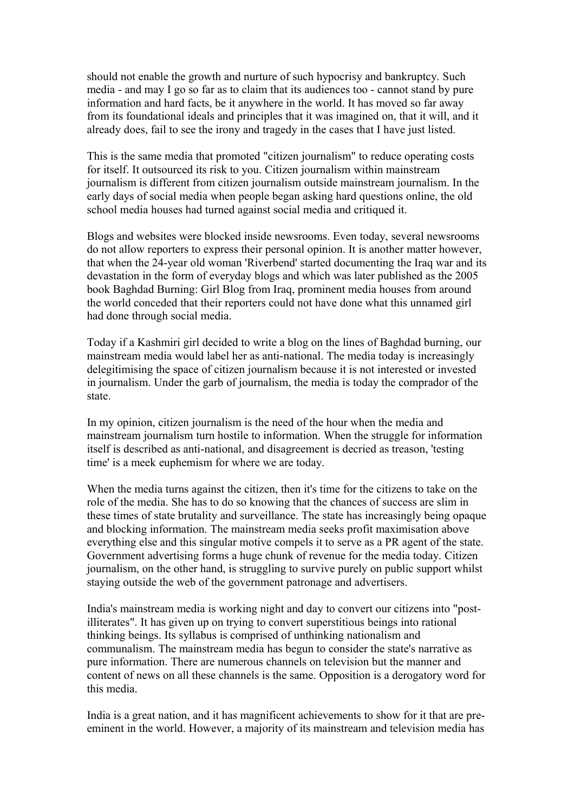should not enable the growth and nurture of such hypocrisy and bankruptcy. Such media - and may I go so far as to claim that its audiences too - cannot stand by pure information and hard facts, be it anywhere in the world. It has moved so far away from its foundational ideals and principles that it was imagined on, that it will, and it already does, fail to see the irony and tragedy in the cases that I have just listed.

This is the same media that promoted "citizen journalism" to reduce operating costs for itself. It outsourced its risk to you. Citizen journalism within mainstream journalism is different from citizen journalism outside mainstream journalism. In the early days of social media when people began asking hard questions online, the old school media houses had turned against social media and critiqued it.

Blogs and websites were blocked inside newsrooms. Even today, several newsrooms do not allow reporters to express their personal opinion. It is another matter however, that when the 24-year old woman 'Riverbend' started documenting the Iraq war and its devastation in the form of everyday blogs and which was later published as the 2005 book Baghdad Burning: Girl Blog from Iraq, prominent media houses from around the world conceded that their reporters could not have done what this unnamed girl had done through social media.

Today if a Kashmiri girl decided to write a blog on the lines of Baghdad burning, our mainstream media would label her as anti-national. The media today is increasingly delegitimising the space of citizen journalism because it is not interested or invested in journalism. Under the garb of journalism, the media is today the comprador of the state.

In my opinion, citizen journalism is the need of the hour when the media and mainstream journalism turn hostile to information. When the struggle for information itself is described as anti-national, and disagreement is decried as treason, 'testing time' is a meek euphemism for where we are today.

When the media turns against the citizen, then it's time for the citizens to take on the role of the media. She has to do so knowing that the chances of success are slim in these times of state brutality and surveillance. The state has increasingly being opaque and blocking information. The mainstream media seeks profit maximisation above everything else and this singular motive compels it to serve as a PR agent of the state. Government advertising forms a huge chunk of revenue for the media today. Citizen journalism, on the other hand, is struggling to survive purely on public support whilst staying outside the web of the government patronage and advertisers.

India's mainstream media is working night and day to convert our citizens into "postilliterates". It has given up on trying to convert superstitious beings into rational thinking beings. Its syllabus is comprised of unthinking nationalism and communalism. The mainstream media has begun to consider the state's narrative as pure information. There are numerous channels on television but the manner and content of news on all these channels is the same. Opposition is a derogatory word for this media.

India is a great nation, and it has magnificent achievements to show for it that are preeminent in the world. However, a majority of its mainstream and television media has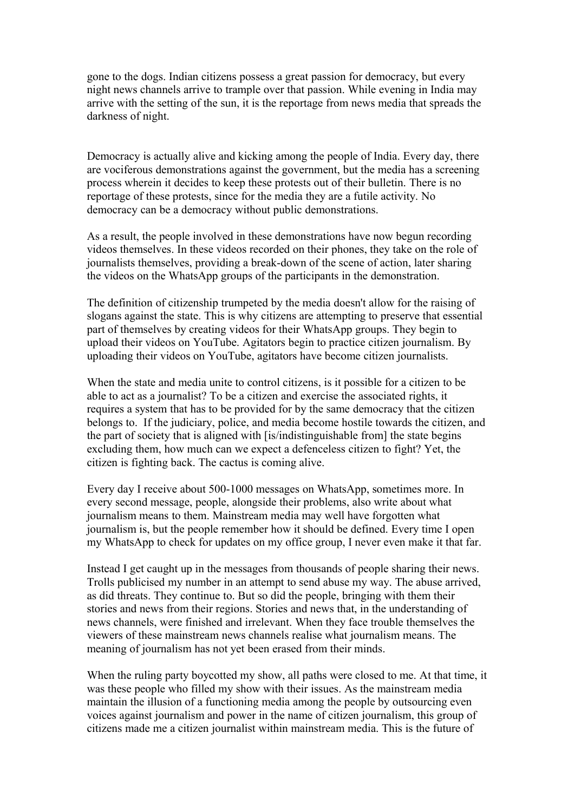gone to the dogs. Indian citizens possess a great passion for democracy, but every night news channels arrive to trample over that passion. While evening in India may arrive with the setting of the sun, it is the reportage from news media that spreads the darkness of night.

Democracy is actually alive and kicking among the people of India. Every day, there are vociferous demonstrations against the government, but the media has a screening process wherein it decides to keep these protests out of their bulletin. There is no reportage of these protests, since for the media they are a futile activity. No democracy can be a democracy without public demonstrations.

As a result, the people involved in these demonstrations have now begun recording videos themselves. In these videos recorded on their phones, they take on the role of journalists themselves, providing a break-down of the scene of action, later sharing the videos on the WhatsApp groups of the participants in the demonstration.

The definition of citizenship trumpeted by the media doesn't allow for the raising of slogans against the state. This is why citizens are attempting to preserve that essential part of themselves by creating videos for their WhatsApp groups. They begin to upload their videos on YouTube. Agitators begin to practice citizen journalism. By uploading their videos on YouTube, agitators have become citizen journalists.

When the state and media unite to control citizens, is it possible for a citizen to be able to act as a journalist? To be a citizen and exercise the associated rights, it requires a system that has to be provided for by the same democracy that the citizen belongs to. If the judiciary, police, and media become hostile towards the citizen, and the part of society that is aligned with [is/indistinguishable from] the state begins excluding them, how much can we expect a defenceless citizen to fight? Yet, the citizen is fighting back. The cactus is coming alive.

Every day I receive about 500-1000 messages on WhatsApp, sometimes more. In every second message, people, alongside their problems, also write about what journalism means to them. Mainstream media may well have forgotten what journalism is, but the people remember how it should be defined. Every time I open my WhatsApp to check for updates on my office group, I never even make it that far.

Instead I get caught up in the messages from thousands of people sharing their news. Trolls publicised my number in an attempt to send abuse my way. The abuse arrived, as did threats. They continue to. But so did the people, bringing with them their stories and news from their regions. Stories and news that, in the understanding of news channels, were finished and irrelevant. When they face trouble themselves the viewers of these mainstream news channels realise what journalism means. The meaning of journalism has not yet been erased from their minds.

When the ruling party boycotted my show, all paths were closed to me. At that time, it was these people who filled my show with their issues. As the mainstream media maintain the illusion of a functioning media among the people by outsourcing even voices against journalism and power in the name of citizen journalism, this group of citizens made me a citizen journalist within mainstream media. This is the future of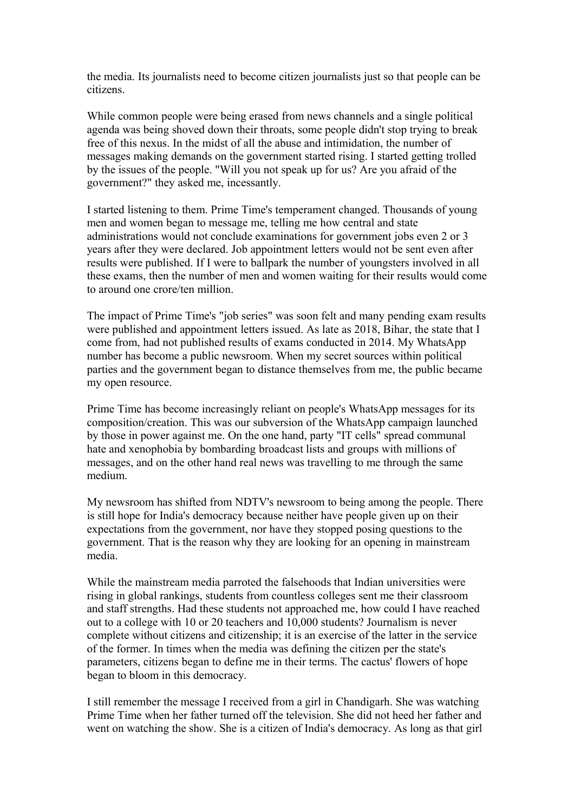the media. Its journalists need to become citizen journalists just so that people can be citizens.

While common people were being erased from news channels and a single political agenda was being shoved down their throats, some people didn't stop trying to break free of this nexus. In the midst of all the abuse and intimidation, the number of messages making demands on the government started rising. I started getting trolled by the issues of the people. "Will you not speak up for us? Are you afraid of the government?" they asked me, incessantly.

I started listening to them. Prime Time's temperament changed. Thousands of young men and women began to message me, telling me how central and state administrations would not conclude examinations for government jobs even 2 or 3 years after they were declared. Job appointment letters would not be sent even after results were published. If I were to ballpark the number of youngsters involved in all these exams, then the number of men and women waiting for their results would come to around one crore/ten million.

The impact of Prime Time's "job series" was soon felt and many pending exam results were published and appointment letters issued. As late as 2018, Bihar, the state that I come from, had not published results of exams conducted in 2014. My WhatsApp number has become a public newsroom. When my secret sources within political parties and the government began to distance themselves from me, the public became my open resource.

Prime Time has become increasingly reliant on people's WhatsApp messages for its composition/creation. This was our subversion of the WhatsApp campaign launched by those in power against me. On the one hand, party "IT cells" spread communal hate and xenophobia by bombarding broadcast lists and groups with millions of messages, and on the other hand real news was travelling to me through the same medium.

My newsroom has shifted from NDTV's newsroom to being among the people. There is still hope for India's democracy because neither have people given up on their expectations from the government, nor have they stopped posing questions to the government. That is the reason why they are looking for an opening in mainstream media.

While the mainstream media parroted the falsehoods that Indian universities were rising in global rankings, students from countless colleges sent me their classroom and staff strengths. Had these students not approached me, how could I have reached out to a college with 10 or 20 teachers and 10,000 students? Journalism is never complete without citizens and citizenship; it is an exercise of the latter in the service of the former. In times when the media was defining the citizen per the state's parameters, citizens began to define me in their terms. The cactus' flowers of hope began to bloom in this democracy.

I still remember the message I received from a girl in Chandigarh. She was watching Prime Time when her father turned off the television. She did not heed her father and went on watching the show. She is a citizen of India's democracy. As long as that girl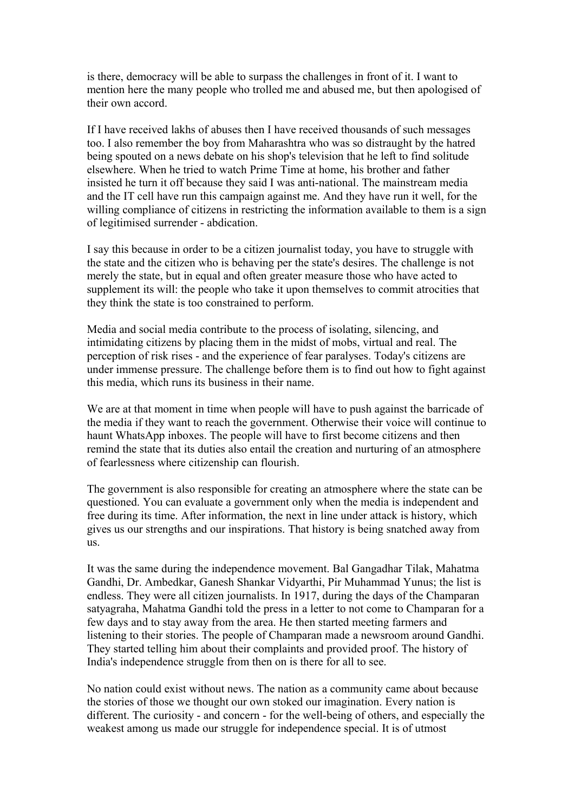is there, democracy will be able to surpass the challenges in front of it. I want to mention here the many people who trolled me and abused me, but then apologised of their own accord.

If I have received lakhs of abuses then I have received thousands of such messages too. I also remember the boy from Maharashtra who was so distraught by the hatred being spouted on a news debate on his shop's television that he left to find solitude elsewhere. When he tried to watch Prime Time at home, his brother and father insisted he turn it off because they said I was anti-national. The mainstream media and the IT cell have run this campaign against me. And they have run it well, for the willing compliance of citizens in restricting the information available to them is a sign of legitimised surrender - abdication.

I say this because in order to be a citizen journalist today, you have to struggle with the state and the citizen who is behaving per the state's desires. The challenge is not merely the state, but in equal and often greater measure those who have acted to supplement its will: the people who take it upon themselves to commit atrocities that they think the state is too constrained to perform.

Media and social media contribute to the process of isolating, silencing, and intimidating citizens by placing them in the midst of mobs, virtual and real. The perception of risk rises - and the experience of fear paralyses. Today's citizens are under immense pressure. The challenge before them is to find out how to fight against this media, which runs its business in their name.

We are at that moment in time when people will have to push against the barricade of the media if they want to reach the government. Otherwise their voice will continue to haunt WhatsApp inboxes. The people will have to first become citizens and then remind the state that its duties also entail the creation and nurturing of an atmosphere of fearlessness where citizenship can flourish.

The government is also responsible for creating an atmosphere where the state can be questioned. You can evaluate a government only when the media is independent and free during its time. After information, the next in line under attack is history, which gives us our strengths and our inspirations. That history is being snatched away from us.

It was the same during the independence movement. Bal Gangadhar Tilak, Mahatma Gandhi, Dr. Ambedkar, Ganesh Shankar Vidyarthi, Pir Muhammad Yunus; the list is endless. They were all citizen journalists. In 1917, during the days of the Champaran satyagraha, Mahatma Gandhi told the press in a letter to not come to Champaran for a few days and to stay away from the area. He then started meeting farmers and listening to their stories. The people of Champaran made a newsroom around Gandhi. They started telling him about their complaints and provided proof. The history of India's independence struggle from then on is there for all to see.

No nation could exist without news. The nation as a community came about because the stories of those we thought our own stoked our imagination. Every nation is different. The curiosity - and concern - for the well-being of others, and especially the weakest among us made our struggle for independence special. It is of utmost